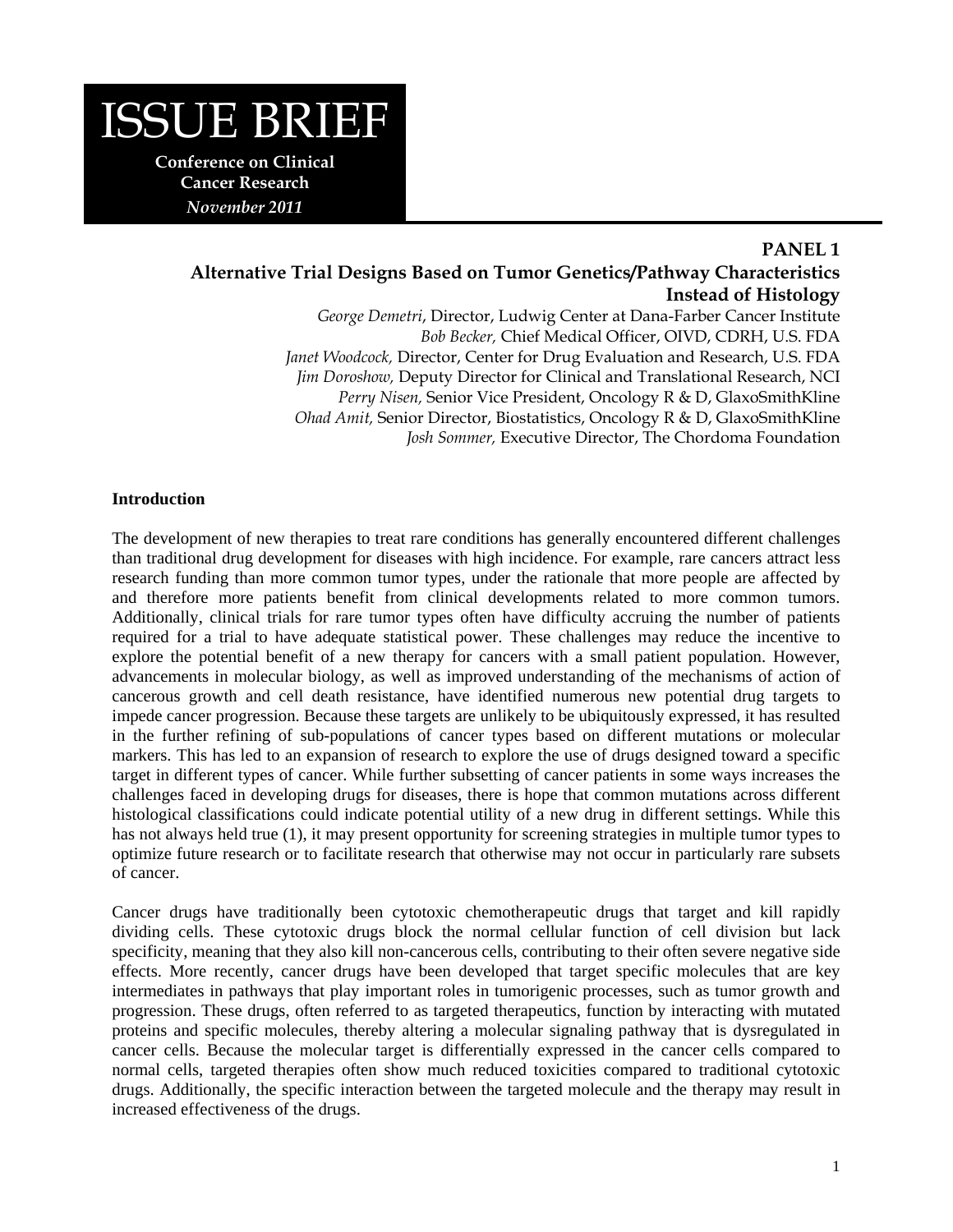

# **PANEL 1 Alternative Trial Designs Based on Tumor Genetics/Pathway Characteristics Instead of Histology**

*George Demetri*, Director, Ludwig Center at Dana-Farber Cancer Institute *Bob Becker,* Chief Medical Officer, OIVD, CDRH, U.S. FDA *Janet Woodcock,* Director, Center for Drug Evaluation and Research, U.S. FDA *Jim Doroshow,* Deputy Director for Clinical and Translational Research, NCI *Perry Nisen,* Senior Vice President, Oncology R & D, GlaxoSmithKline *Ohad Amit,* Senior Director, Biostatistics, Oncology R & D, GlaxoSmithKline *Josh Sommer,* Executive Director, The Chordoma Foundation

#### **Introduction**

The development of new therapies to treat rare conditions has generally encountered different challenges than traditional drug development for diseases with high incidence. For example, rare cancers attract less research funding than more common tumor types, under the rationale that more people are affected by and therefore more patients benefit from clinical developments related to more common tumors. Additionally, clinical trials for rare tumor types often have difficulty accruing the number of patients required for a trial to have adequate statistical power. These challenges may reduce the incentive to explore the potential benefit of a new therapy for cancers with a small patient population. However, advancements in molecular biology, as well as improved understanding of the mechanisms of action of cancerous growth and cell death resistance, have identified numerous new potential drug targets to impede cancer progression. Because these targets are unlikely to be ubiquitously expressed, it has resulted in the further refining of sub-populations of cancer types based on different mutations or molecular markers. This has led to an expansion of research to explore the use of drugs designed toward a specific target in different types of cancer. While further subsetting of cancer patients in some ways increases the challenges faced in developing drugs for diseases, there is hope that common mutations across different histological classifications could indicate potential utility of a new drug in different settings. While this has not always held true (1), it may present opportunity for screening strategies in multiple tumor types to optimize future research or to facilitate research that otherwise may not occur in particularly rare subsets of cancer.

Cancer drugs have traditionally been cytotoxic chemotherapeutic drugs that target and kill rapidly dividing cells. These cytotoxic drugs block the normal cellular function of cell division but lack specificity, meaning that they also kill non-cancerous cells, contributing to their often severe negative side effects. More recently, cancer drugs have been developed that target specific molecules that are key intermediates in pathways that play important roles in tumorigenic processes, such as tumor growth and progression. These drugs, often referred to as targeted therapeutics, function by interacting with mutated proteins and specific molecules, thereby altering a molecular signaling pathway that is dysregulated in cancer cells. Because the molecular target is differentially expressed in the cancer cells compared to normal cells, targeted therapies often show much reduced toxicities compared to traditional cytotoxic drugs. Additionally, the specific interaction between the targeted molecule and the therapy may result in increased effectiveness of the drugs.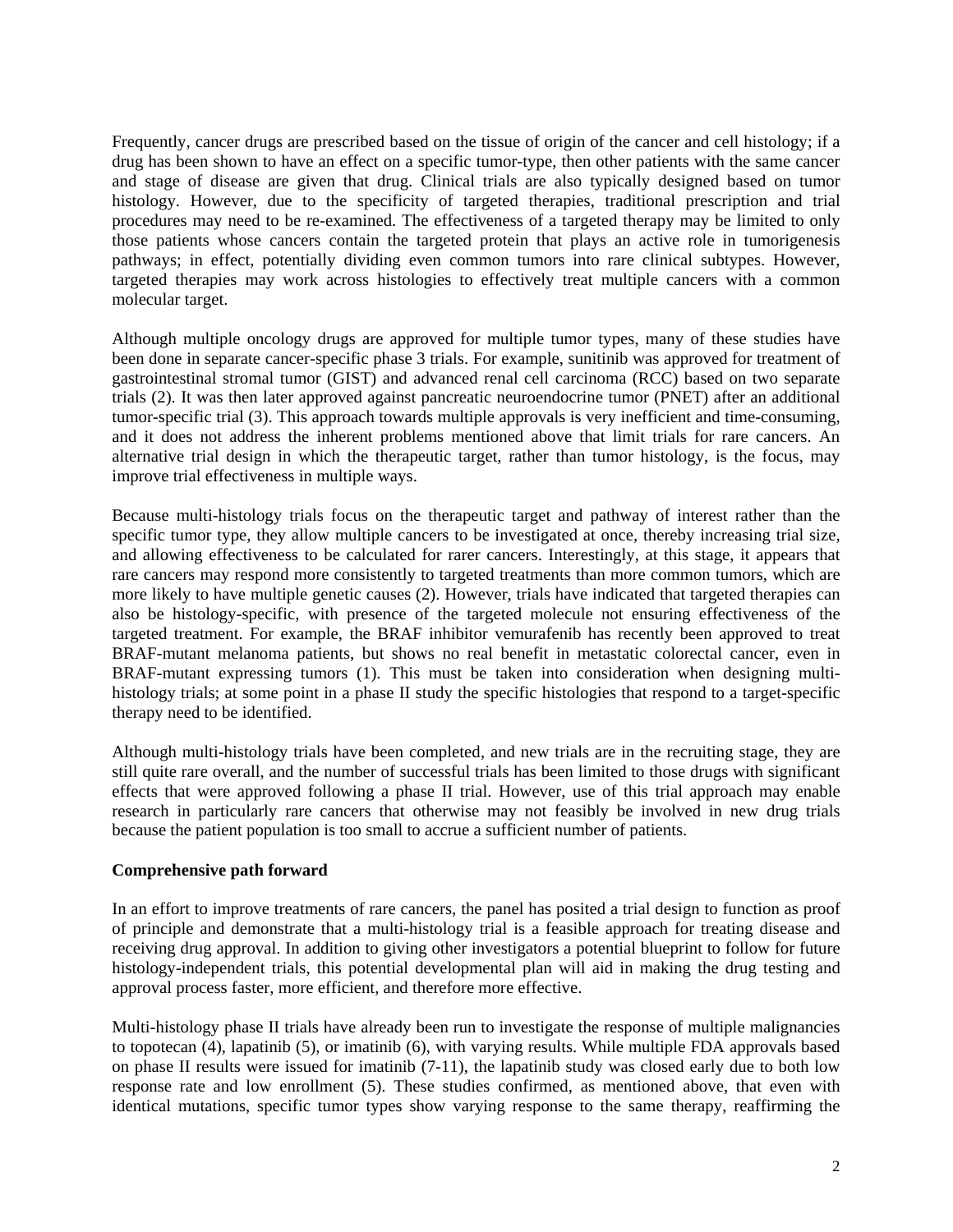Frequently, cancer drugs are prescribed based on the tissue of origin of the cancer and cell histology; if a drug has been shown to have an effect on a specific tumor-type, then other patients with the same cancer and stage of disease are given that drug. Clinical trials are also typically designed based on tumor histology. However, due to the specificity of targeted therapies, traditional prescription and trial procedures may need to be re-examined. The effectiveness of a targeted therapy may be limited to only those patients whose cancers contain the targeted protein that plays an active role in tumorigenesis pathways; in effect, potentially dividing even common tumors into rare clinical subtypes. However, targeted therapies may work across histologies to effectively treat multiple cancers with a common molecular target.

Although multiple oncology drugs are approved for multiple tumor types, many of these studies have been done in separate cancer-specific phase 3 trials. For example, sunitinib was approved for treatment of gastrointestinal stromal tumor (GIST) and advanced renal cell carcinoma (RCC) based on two separate trials (2). It was then later approved against pancreatic neuroendocrine tumor (PNET) after an additional tumor-specific trial (3). This approach towards multiple approvals is very inefficient and time-consuming, and it does not address the inherent problems mentioned above that limit trials for rare cancers. An alternative trial design in which the therapeutic target, rather than tumor histology, is the focus, may improve trial effectiveness in multiple ways.

Because multi-histology trials focus on the therapeutic target and pathway of interest rather than the specific tumor type, they allow multiple cancers to be investigated at once, thereby increasing trial size, and allowing effectiveness to be calculated for rarer cancers. Interestingly, at this stage, it appears that rare cancers may respond more consistently to targeted treatments than more common tumors, which are more likely to have multiple genetic causes (2). However, trials have indicated that targeted therapies can also be histology-specific, with presence of the targeted molecule not ensuring effectiveness of the targeted treatment. For example, the BRAF inhibitor vemurafenib has recently been approved to treat BRAF-mutant melanoma patients, but shows no real benefit in metastatic colorectal cancer, even in BRAF-mutant expressing tumors (1). This must be taken into consideration when designing multihistology trials; at some point in a phase II study the specific histologies that respond to a target-specific therapy need to be identified.

Although multi-histology trials have been completed, and new trials are in the recruiting stage, they are still quite rare overall, and the number of successful trials has been limited to those drugs with significant effects that were approved following a phase II trial. However, use of this trial approach may enable research in particularly rare cancers that otherwise may not feasibly be involved in new drug trials because the patient population is too small to accrue a sufficient number of patients.

### **Comprehensive path forward**

In an effort to improve treatments of rare cancers, the panel has posited a trial design to function as proof of principle and demonstrate that a multi-histology trial is a feasible approach for treating disease and receiving drug approval. In addition to giving other investigators a potential blueprint to follow for future histology-independent trials, this potential developmental plan will aid in making the drug testing and approval process faster, more efficient, and therefore more effective.

Multi-histology phase II trials have already been run to investigate the response of multiple malignancies to topotecan (4), lapatinib (5), or imatinib (6), with varying results. While multiple FDA approvals based on phase II results were issued for imatinib (7-11), the lapatinib study was closed early due to both low response rate and low enrollment (5). These studies confirmed, as mentioned above, that even with identical mutations, specific tumor types show varying response to the same therapy, reaffirming the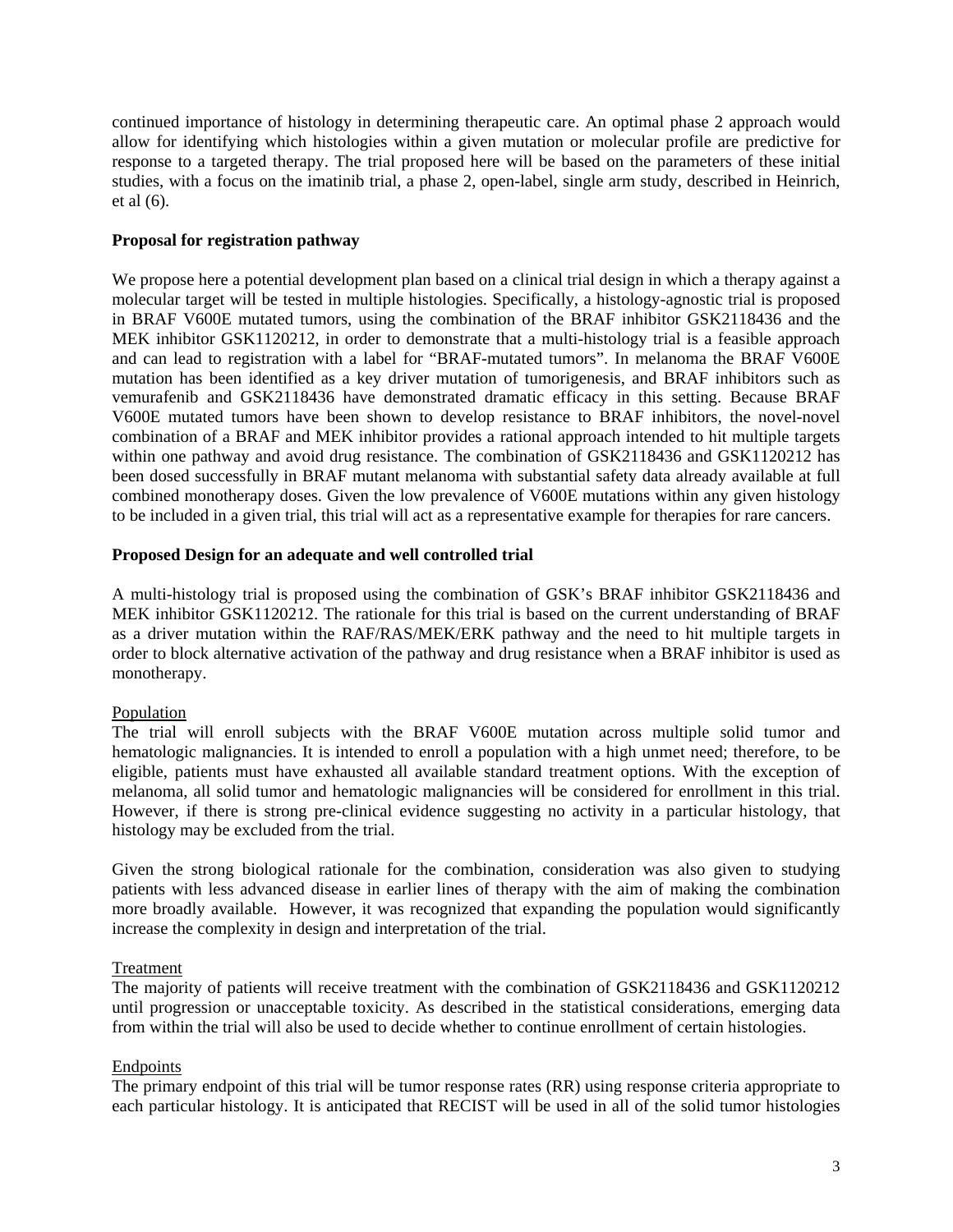continued importance of histology in determining therapeutic care. An optimal phase 2 approach would allow for identifying which histologies within a given mutation or molecular profile are predictive for response to a targeted therapy. The trial proposed here will be based on the parameters of these initial studies, with a focus on the imatinib trial, a phase 2, open-label, single arm study, described in Heinrich, et al (6).

### **Proposal for registration pathway**

We propose here a potential development plan based on a clinical trial design in which a therapy against a molecular target will be tested in multiple histologies. Specifically, a histology-agnostic trial is proposed in BRAF V600E mutated tumors, using the combination of the BRAF inhibitor GSK2118436 and the MEK inhibitor GSK1120212, in order to demonstrate that a multi-histology trial is a feasible approach and can lead to registration with a label for "BRAF-mutated tumors". In melanoma the BRAF V600E mutation has been identified as a key driver mutation of tumorigenesis, and BRAF inhibitors such as vemurafenib and GSK2118436 have demonstrated dramatic efficacy in this setting. Because BRAF V600E mutated tumors have been shown to develop resistance to BRAF inhibitors, the novel-novel combination of a BRAF and MEK inhibitor provides a rational approach intended to hit multiple targets within one pathway and avoid drug resistance. The combination of GSK2118436 and GSK1120212 has been dosed successfully in BRAF mutant melanoma with substantial safety data already available at full combined monotherapy doses. Given the low prevalence of V600E mutations within any given histology to be included in a given trial, this trial will act as a representative example for therapies for rare cancers.

### **Proposed Design for an adequate and well controlled trial**

A multi-histology trial is proposed using the combination of GSK's BRAF inhibitor GSK2118436 and MEK inhibitor GSK1120212. The rationale for this trial is based on the current understanding of BRAF as a driver mutation within the RAF/RAS/MEK/ERK pathway and the need to hit multiple targets in order to block alternative activation of the pathway and drug resistance when a BRAF inhibitor is used as monotherapy.

### Population

The trial will enroll subjects with the BRAF V600E mutation across multiple solid tumor and hematologic malignancies. It is intended to enroll a population with a high unmet need; therefore, to be eligible, patients must have exhausted all available standard treatment options. With the exception of melanoma, all solid tumor and hematologic malignancies will be considered for enrollment in this trial. However, if there is strong pre-clinical evidence suggesting no activity in a particular histology, that histology may be excluded from the trial.

Given the strong biological rationale for the combination, consideration was also given to studying patients with less advanced disease in earlier lines of therapy with the aim of making the combination more broadly available. However, it was recognized that expanding the population would significantly increase the complexity in design and interpretation of the trial.

### Treatment

The majority of patients will receive treatment with the combination of GSK2118436 and GSK1120212 until progression or unacceptable toxicity. As described in the statistical considerations, emerging data from within the trial will also be used to decide whether to continue enrollment of certain histologies.

### Endpoints

The primary endpoint of this trial will be tumor response rates (RR) using response criteria appropriate to each particular histology. It is anticipated that RECIST will be used in all of the solid tumor histologies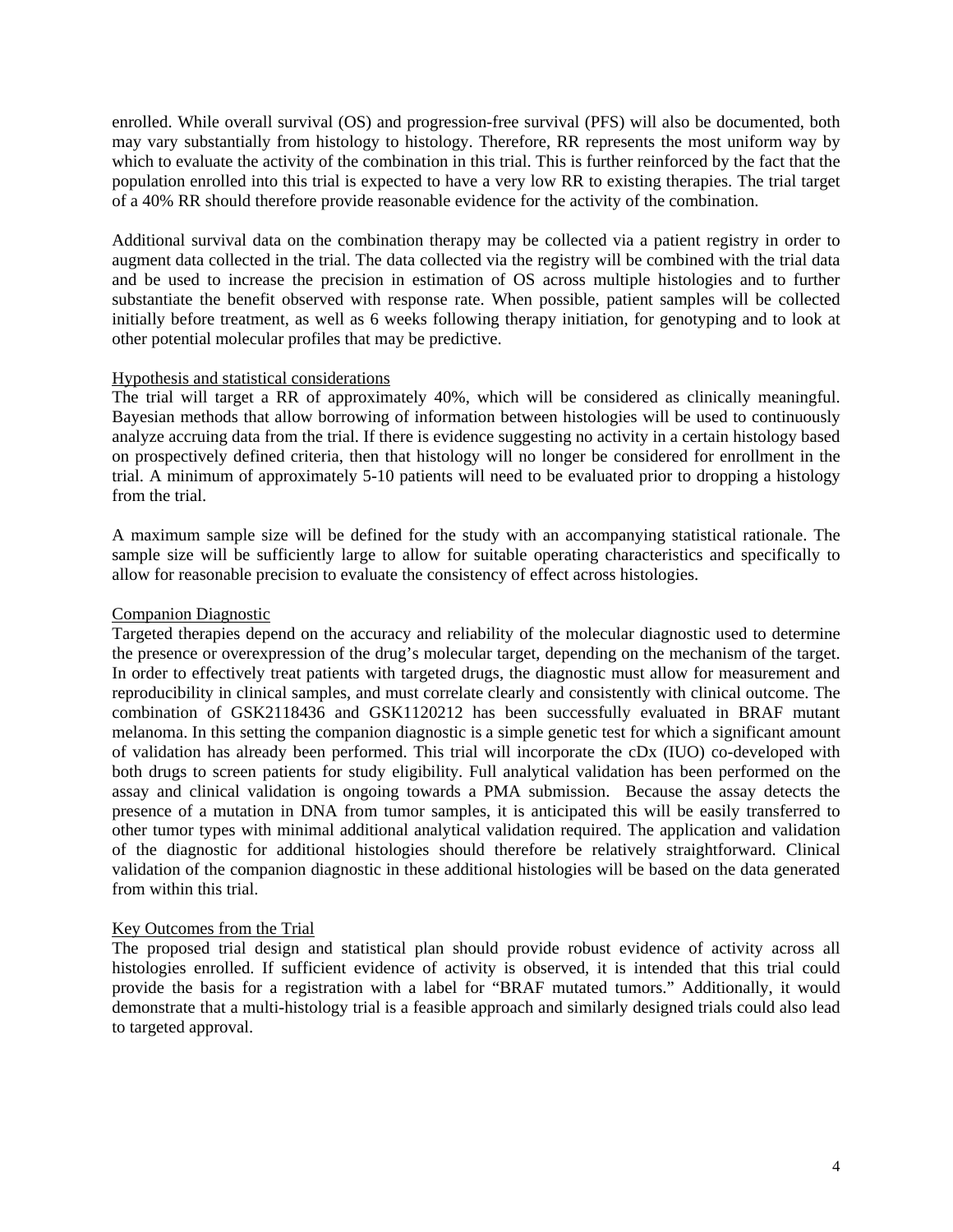enrolled. While overall survival (OS) and progression-free survival (PFS) will also be documented, both may vary substantially from histology to histology. Therefore, RR represents the most uniform way by which to evaluate the activity of the combination in this trial. This is further reinforced by the fact that the population enrolled into this trial is expected to have a very low RR to existing therapies. The trial target of a 40% RR should therefore provide reasonable evidence for the activity of the combination.

Additional survival data on the combination therapy may be collected via a patient registry in order to augment data collected in the trial. The data collected via the registry will be combined with the trial data and be used to increase the precision in estimation of OS across multiple histologies and to further substantiate the benefit observed with response rate. When possible, patient samples will be collected initially before treatment, as well as 6 weeks following therapy initiation, for genotyping and to look at other potential molecular profiles that may be predictive.

#### Hypothesis and statistical considerations

The trial will target a RR of approximately 40%, which will be considered as clinically meaningful. Bayesian methods that allow borrowing of information between histologies will be used to continuously analyze accruing data from the trial. If there is evidence suggesting no activity in a certain histology based on prospectively defined criteria, then that histology will no longer be considered for enrollment in the trial. A minimum of approximately 5-10 patients will need to be evaluated prior to dropping a histology from the trial.

A maximum sample size will be defined for the study with an accompanying statistical rationale. The sample size will be sufficiently large to allow for suitable operating characteristics and specifically to allow for reasonable precision to evaluate the consistency of effect across histologies.

#### Companion Diagnostic

Targeted therapies depend on the accuracy and reliability of the molecular diagnostic used to determine the presence or overexpression of the drug's molecular target, depending on the mechanism of the target. In order to effectively treat patients with targeted drugs, the diagnostic must allow for measurement and reproducibility in clinical samples, and must correlate clearly and consistently with clinical outcome. The combination of GSK2118436 and GSK1120212 has been successfully evaluated in BRAF mutant melanoma. In this setting the companion diagnostic is a simple genetic test for which a significant amount of validation has already been performed. This trial will incorporate the cDx (IUO) co-developed with both drugs to screen patients for study eligibility. Full analytical validation has been performed on the assay and clinical validation is ongoing towards a PMA submission. Because the assay detects the presence of a mutation in DNA from tumor samples, it is anticipated this will be easily transferred to other tumor types with minimal additional analytical validation required. The application and validation of the diagnostic for additional histologies should therefore be relatively straightforward. Clinical validation of the companion diagnostic in these additional histologies will be based on the data generated from within this trial.

### Key Outcomes from the Trial

The proposed trial design and statistical plan should provide robust evidence of activity across all histologies enrolled. If sufficient evidence of activity is observed, it is intended that this trial could provide the basis for a registration with a label for "BRAF mutated tumors." Additionally, it would demonstrate that a multi-histology trial is a feasible approach and similarly designed trials could also lead to targeted approval.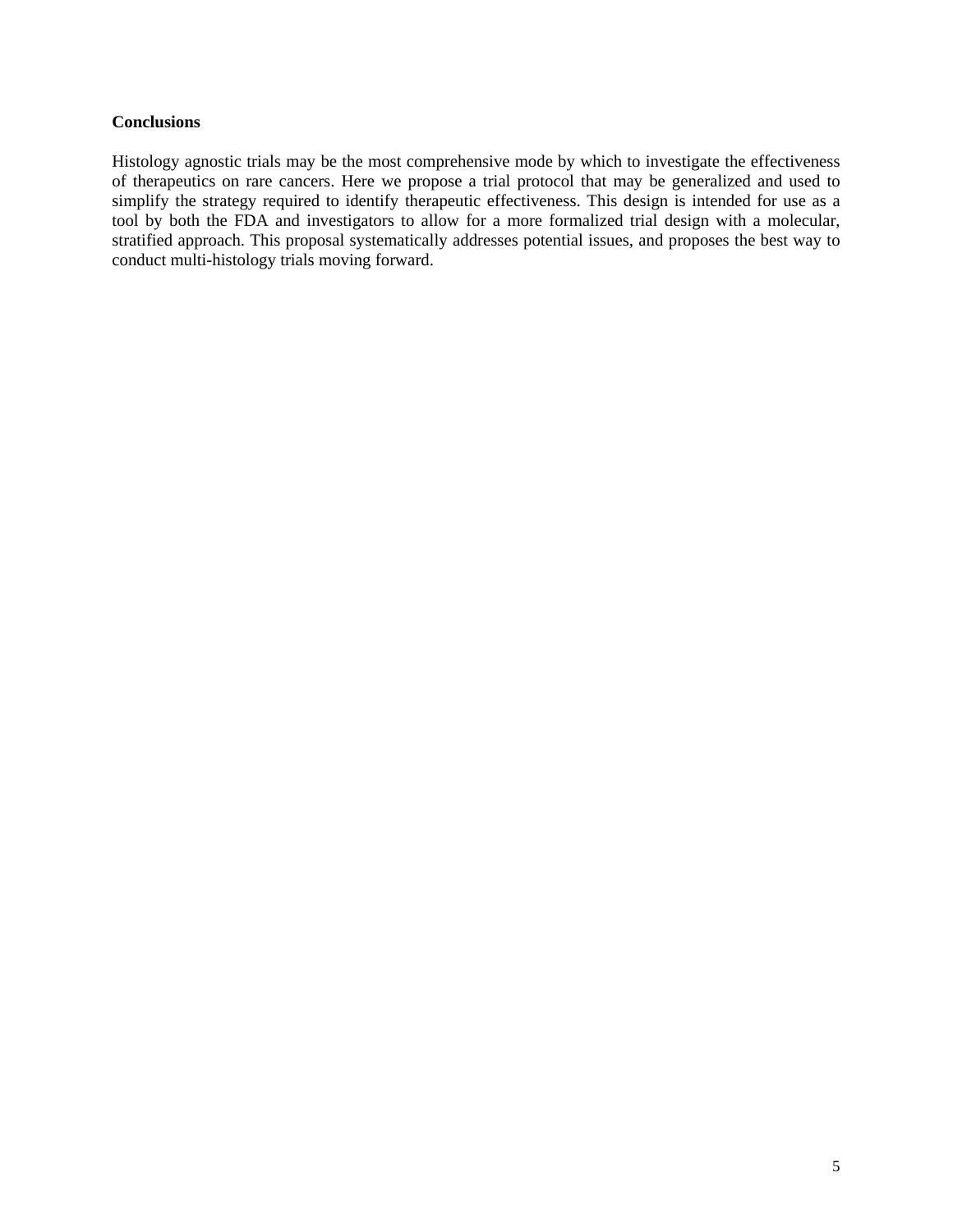#### **Conclusions**

Histology agnostic trials may be the most comprehensive mode by which to investigate the effectiveness of therapeutics on rare cancers. Here we propose a trial protocol that may be generalized and used to simplify the strategy required to identify therapeutic effectiveness. This design is intended for use as a tool by both the FDA and investigators to allow for a more formalized trial design with a molecular, stratified approach. This proposal systematically addresses potential issues, and proposes the best way to conduct multi-histology trials moving forward.